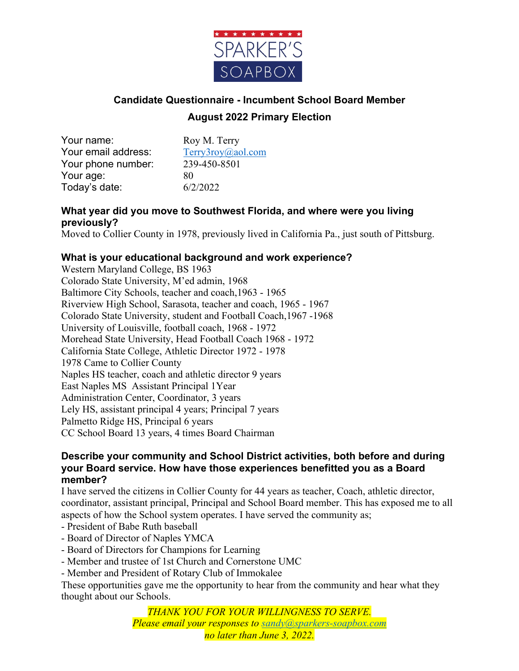

# **Candidate Questionnaire - Incumbent School Board Member August 2022 Primary Election**

Your name: Roy M. Terry Your email address: Terry3roy@aol.com Your phone number: 239-450-8501 Your age: 80 Today's date: 6/2/2022

## **What year did you move to Southwest Florida, and where were you living previously?**

Moved to Collier County in 1978, previously lived in California Pa., just south of Pittsburg.

## **What is your educational background and work experience?**

Western Maryland College, BS 1963 Colorado State University, M'ed admin, 1968 Baltimore City Schools, teacher and coach,1963 - 1965 Riverview High School, Sarasota, teacher and coach, 1965 - 1967 Colorado State University, student and Football Coach,1967 -1968 University of Louisville, football coach, 1968 - 1972 Morehead State University, Head Football Coach 1968 - 1972 California State College, Athletic Director 1972 - 1978 1978 Came to Collier County Naples HS teacher, coach and athletic director 9 years East Naples MS Assistant Principal 1Year Administration Center, Coordinator, 3 years Lely HS, assistant principal 4 years; Principal 7 years Palmetto Ridge HS, Principal 6 years CC School Board 13 years, 4 times Board Chairman

#### **Describe your community and School District activities, both before and during your Board service. How have those experiences benefitted you as a Board member?**

I have served the citizens in Collier County for 44 years as teacher, Coach, athletic director, coordinator, assistant principal, Principal and School Board member. This has exposed me to all aspects of how the School system operates. I have served the community as;

- President of Babe Ruth baseball
- Board of Director of Naples YMCA
- Board of Directors for Champions for Learning
- Member and trustee of 1st Church and Cornerstone UMC
- Member and President of Rotary Club of Immokalee

These opportunities gave me the opportunity to hear from the community and hear what they thought about our Schools.

> *THANK YOU FOR YOUR WILLINGNESS TO SERVE. Please email your responses to sandy@sparkers-soapbox.com no later than June 3, 2022.*